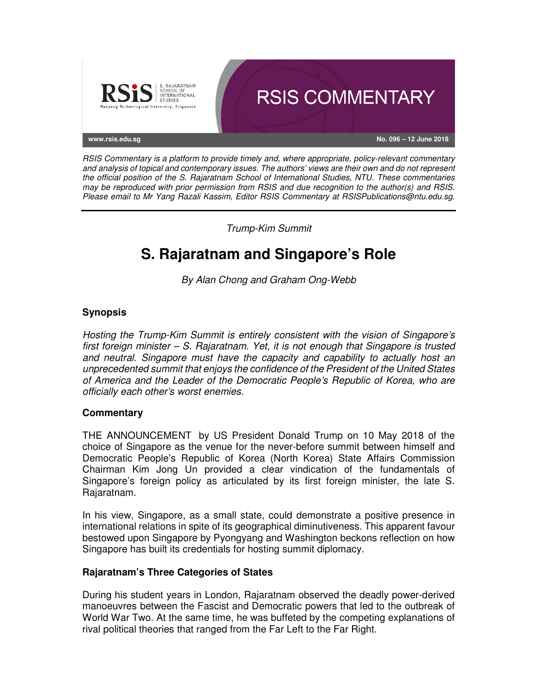

RSIS Commentary is a platform to provide timely and, where appropriate, policy-relevant commentary and analysis of topical and contemporary issues. The authors' views are their own and do not represent the official position of the S. Rajaratnam School of International Studies, NTU. These commentaries may be reproduced with prior permission from RSIS and due recognition to the author(s) and RSIS. Please email to Mr Yang Razali Kassim, Editor RSIS Commentary at RSISPublications@ntu.edu.sg.

Trump-Kim Summit

# **S. Rajaratnam and Singapore's Role**

By Alan Chong and Graham Ong-Webb

## **Synopsis**

Hosting the Trump-Kim Summit is entirely consistent with the vision of Singapore's first foreign minister – S. Rajaratnam. Yet, it is not enough that Singapore is trusted and neutral. Singapore must have the capacity and capability to actually host an unprecedented summit that enjoys the confidence of the President of the United States of America and the Leader of the Democratic People's Republic of Korea, who are officially each other's worst enemies.

## **Commentary**

THE ANNOUNCEMENT by US President Donald Trump on 10 May 2018 of the choice of Singapore as the venue for the never-before summit between himself and Democratic People's Republic of Korea (North Korea) State Affairs Commission Chairman Kim Jong Un provided a clear vindication of the fundamentals of Singapore's foreign policy as articulated by its first foreign minister, the late S. Rajaratnam.

In his view, Singapore, as a small state, could demonstrate a positive presence in international relations in spite of its geographical diminutiveness. This apparent favour bestowed upon Singapore by Pyongyang and Washington beckons reflection on how Singapore has built its credentials for hosting summit diplomacy.

## **Rajaratnam's Three Categories of States**

During his student years in London, Rajaratnam observed the deadly power-derived manoeuvres between the Fascist and Democratic powers that led to the outbreak of World War Two. At the same time, he was buffeted by the competing explanations of rival political theories that ranged from the Far Left to the Far Right.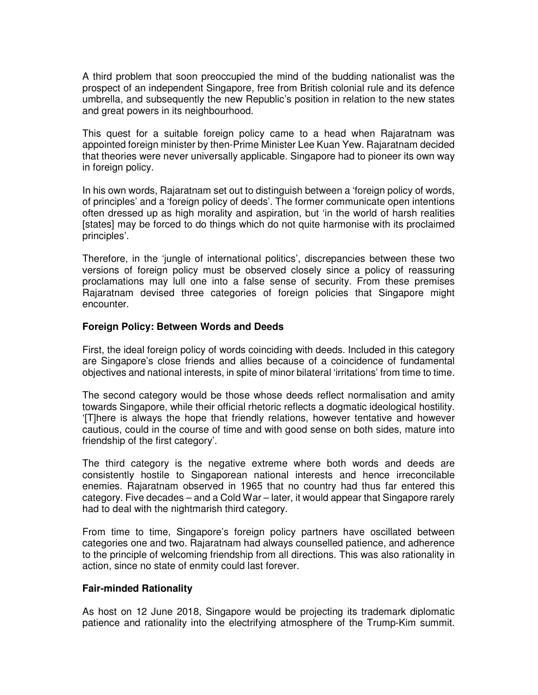A third problem that soon preoccupied the mind of the budding nationalist was the prospect of an independent Singapore, free from British colonial rule and its defence umbrella, and subsequently the new Republic's position in relation to the new states and great powers in its neighbourhood.

This quest for a suitable foreign policy came to a head when Rajaratnam was appointed foreign minister by then-Prime Minister Lee Kuan Yew. Rajaratnam decided that theories were never universally applicable. Singapore had to pioneer its own way in foreign policy.

In his own words, Rajaratnam set out to distinguish between a 'foreign policy of words, of principles' and a 'foreign policy of deeds'. The former communicate open intentions often dressed up as high morality and aspiration, but 'in the world of harsh realities [states] may be forced to do things which do not quite harmonise with its proclaimed principles'.

Therefore, in the 'jungle of international politics', discrepancies between these two versions of foreign policy must be observed closely since a policy of reassuring proclamations may lull one into a false sense of security. From these premises Rajaratnam devised three categories of foreign policies that Singapore might encounter.

#### **Foreign Policy: Between Words and Deeds**

First, the ideal foreign policy of words coinciding with deeds. Included in this category are Singapore's close friends and allies because of a coincidence of fundamental objectives and national interests, in spite of minor bilateral 'irritations' from time to time.

The second category would be those whose deeds reflect normalisation and amity towards Singapore, while their official rhetoric reflects a dogmatic ideological hostility. '[T]here is always the hope that friendly relations, however tentative and however cautious, could in the course of time and with good sense on both sides, mature into friendship of the first category'.

The third category is the negative extreme where both words and deeds are consistently hostile to Singaporean national interests and hence irreconcilable enemies. Rajaratnam observed in 1965 that no country had thus far entered this category. Five decades – and a Cold War – later, it would appear that Singapore rarely had to deal with the nightmarish third category.

From time to time, Singapore's foreign policy partners have oscillated between categories one and two. Rajaratnam had always counselled patience, and adherence to the principle of welcoming friendship from all directions. This was also rationality in action, since no state of enmity could last forever.

## **Fair-minded Rationality**

As host on 12 June 2018, Singapore would be projecting its trademark diplomatic patience and rationality into the electrifying atmosphere of the Trump-Kim summit.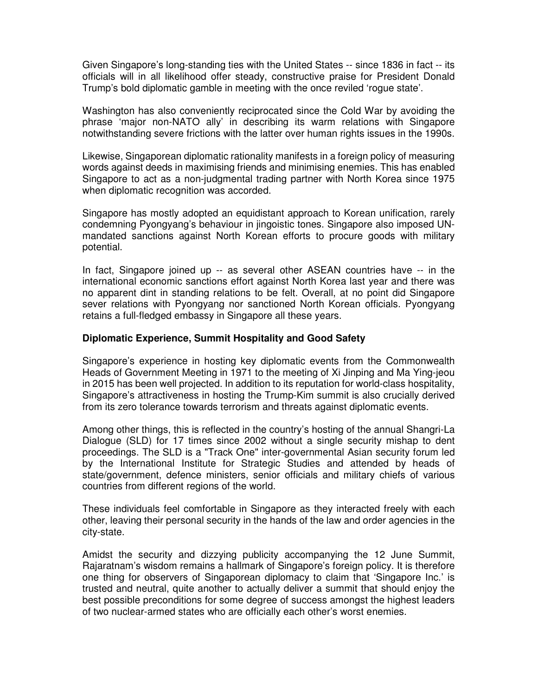Given Singapore's long-standing ties with the United States -- since 1836 in fact -- its officials will in all likelihood offer steady, constructive praise for President Donald Trump's bold diplomatic gamble in meeting with the once reviled 'rogue state'.

Washington has also conveniently reciprocated since the Cold War by avoiding the phrase 'major non-NATO ally' in describing its warm relations with Singapore notwithstanding severe frictions with the latter over human rights issues in the 1990s.

Likewise, Singaporean diplomatic rationality manifests in a foreign policy of measuring words against deeds in maximising friends and minimising enemies. This has enabled Singapore to act as a non-judgmental trading partner with North Korea since 1975 when diplomatic recognition was accorded.

Singapore has mostly adopted an equidistant approach to Korean unification, rarely condemning Pyongyang's behaviour in jingoistic tones. Singapore also imposed UNmandated sanctions against North Korean efforts to procure goods with military potential.

In fact, Singapore joined up -- as several other ASEAN countries have -- in the international economic sanctions effort against North Korea last year and there was no apparent dint in standing relations to be felt. Overall, at no point did Singapore sever relations with Pyongyang nor sanctioned North Korean officials. Pyongyang retains a full-fledged embassy in Singapore all these years.

#### **Diplomatic Experience, Summit Hospitality and Good Safety**

Singapore's experience in hosting key diplomatic events from the Commonwealth Heads of Government Meeting in 1971 to the meeting of Xi Jinping and Ma Ying-jeou in 2015 has been well projected. In addition to its reputation for world-class hospitality, Singapore's attractiveness in hosting the Trump-Kim summit is also crucially derived from its zero tolerance towards terrorism and threats against diplomatic events.

Among other things, this is reflected in the country's hosting of the annual Shangri-La Dialogue (SLD) for 17 times since 2002 without a single security mishap to dent proceedings. The SLD is a "Track One" inter-governmental Asian security forum led by the International Institute for Strategic Studies and attended by heads of state/government, defence ministers, senior officials and military chiefs of various countries from different regions of the world.

These individuals feel comfortable in Singapore as they interacted freely with each other, leaving their personal security in the hands of the law and order agencies in the city-state.

Amidst the security and dizzying publicity accompanying the 12 June Summit, Rajaratnam's wisdom remains a hallmark of Singapore's foreign policy. It is therefore one thing for observers of Singaporean diplomacy to claim that 'Singapore Inc.' is trusted and neutral, quite another to actually deliver a summit that should enjoy the best possible preconditions for some degree of success amongst the highest leaders of two nuclear-armed states who are officially each other's worst enemies.